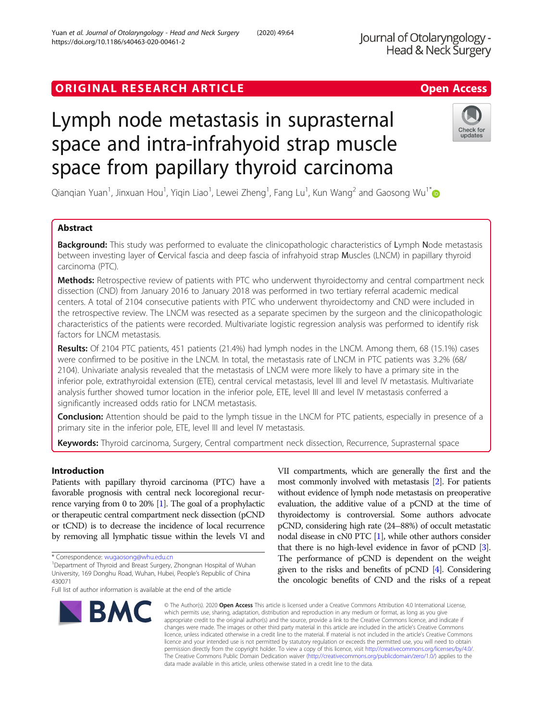# ORIGINAL RESEARCH ARTICLE **Solution Contract Contract Contract Contract Contract Contract Contract Contract Contract Contract Contract Contract Contract Contract Contract Contract Contract Contract Contract Contract Contra**

# Lymph node metastasis in suprasternal space and intra-infrahyoid strap muscle space from papillary thyroid carcinoma

Qianqian Yuan<sup>1</sup>, Jinxuan Hou<sup>1</sup>, Yiqin Liao<sup>1</sup>, Lewei Zheng<sup>1</sup>, Fang Lu<sup>1</sup>, Kun Wang<sup>2</sup> and Gaosong Wu<sup>1\*</sup>

# Abstract

**Background:** This study was performed to evaluate the clinicopathologic characteristics of Lymph Node metastasis between investing layer of Cervical fascia and deep fascia of infrahyoid strap Muscles (LNCM) in papillary thyroid carcinoma (PTC).

Methods: Retrospective review of patients with PTC who underwent thyroidectomy and central compartment neck dissection (CND) from January 2016 to January 2018 was performed in two tertiary referral academic medical centers. A total of 2104 consecutive patients with PTC who underwent thyroidectomy and CND were included in the retrospective review. The LNCM was resected as a separate specimen by the surgeon and the clinicopathologic characteristics of the patients were recorded. Multivariate logistic regression analysis was performed to identify risk factors for LNCM metastasis.

Results: Of 2104 PTC patients, 451 patients (21.4%) had lymph nodes in the LNCM. Among them, 68 (15.1%) cases were confirmed to be positive in the LNCM. In total, the metastasis rate of LNCM in PTC patients was 3.2% (68/ 2104). Univariate analysis revealed that the metastasis of LNCM were more likely to have a primary site in the inferior pole, extrathyroidal extension (ETE), central cervical metastasis, level III and level IV metastasis. Multivariate analysis further showed tumor location in the inferior pole, ETE, level III and level IV metastasis conferred a significantly increased odds ratio for LNCM metastasis.

Conclusion: Attention should be paid to the lymph tissue in the LNCM for PTC patients, especially in presence of a primary site in the inferior pole, ETE, level III and level IV metastasis.

Keywords: Thyroid carcinoma, Surgery, Central compartment neck dissection, Recurrence, Suprasternal space

# Introduction

Patients with papillary thyroid carcinoma (PTC) have a favorable prognosis with central neck locoregional recurrence varying from 0 to 20% [[1](#page-5-0)]. The goal of a prophylactic or therapeutic central compartment neck dissection (pCND or tCND) is to decrease the incidence of local recurrence by removing all lymphatic tissue within the levels VI and

University, 169 Donghu Road, Wuhan, Hubei, People's Republic of China 430071

VII compartments, which are generally the first and the most commonly involved with metastasis [\[2](#page-5-0)]. For patients without evidence of lymph node metastasis on preoperative evaluation, the additive value of a pCND at the time of thyroidectomy is controversial. Some authors advocate pCND, considering high rate (24–88%) of occult metastatic nodal disease in cN0 PTC [\[1\]](#page-5-0), while other authors consider that there is no high-level evidence in favor of pCND [[3](#page-5-0)]. The performance of pCND is dependent on the weight given to the risks and benefits of pCND [\[4\]](#page-6-0). Considering the oncologic benefits of CND and the risks of a repeat

© The Author(s). 2020 Open Access This article is licensed under a Creative Commons Attribution 4.0 International License, which permits use, sharing, adaptation, distribution and reproduction in any medium or format, as long as you give appropriate credit to the original author(s) and the source, provide a link to the Creative Commons licence, and indicate if changes were made. The images or other third party material in this article are included in the article's Creative Commons licence, unless indicated otherwise in a credit line to the material. If material is not included in the article's Creative Commons licence and your intended use is not permitted by statutory regulation or exceeds the permitted use, you will need to obtain permission directly from the copyright holder. To view a copy of this licence, visit [http://creativecommons.org/licenses/by/4.0/.](http://creativecommons.org/licenses/by/4.0/) The Creative Commons Public Domain Dedication waiver [\(http://creativecommons.org/publicdomain/zero/1.0/](http://creativecommons.org/publicdomain/zero/1.0/)) applies to the data made available in this article, unless otherwise stated in a credit line to the data.

<sup>1</sup>Department of Thyroid and Breast Surgery, Zhongnan Hospital of Wuhan





<sup>\*</sup> Correspondence: [wugaosong@whu.edu.cn](mailto:wugaosong@whu.edu.cn) <sup>1</sup>

Full list of author information is available at the end of the article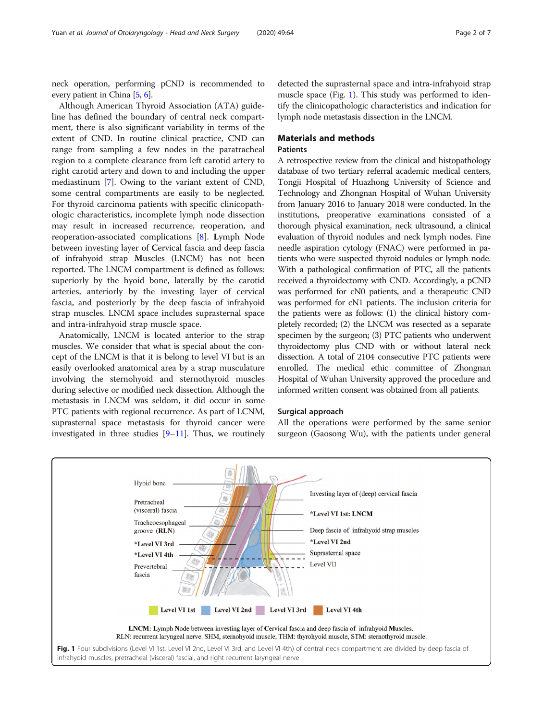<span id="page-1-0"></span>neck operation, performing pCND is recommended to every patient in China [[5](#page-6-0), [6\]](#page-6-0).

Although American Thyroid Association (ATA) guideline has defined the boundary of central neck compartment, there is also significant variability in terms of the extent of CND. In routine clinical practice, CND can range from sampling a few nodes in the paratracheal region to a complete clearance from left carotid artery to right carotid artery and down to and including the upper mediastinum [\[7](#page-6-0)]. Owing to the variant extent of CND, some central compartments are easily to be neglected. For thyroid carcinoma patients with specific clinicopathologic characteristics, incomplete lymph node dissection may result in increased recurrence, reoperation, and reoperation-associated complications [[8\]](#page-6-0). Lymph Node between investing layer of Cervical fascia and deep fascia of infrahyoid strap Muscles (LNCM) has not been reported. The LNCM compartment is defined as follows: superiorly by the hyoid bone, laterally by the carotid arteries, anteriorly by the investing layer of cervical fascia, and posteriorly by the deep fascia of infrahyoid strap muscles. LNCM space includes suprasternal space and intra-infrahyoid strap muscle space.

Anatomically, LNCM is located anterior to the strap muscles. We consider that what is special about the concept of the LNCM is that it is belong to level VI but is an easily overlooked anatomical area by a strap musculature involving the sternohyoid and sternothyroid muscles during selective or modified neck dissection. Although the metastasis in LNCM was seldom, it did occur in some PTC patients with regional recurrence. As part of LCNM, suprasternal space metastasis for thyroid cancer were investigated in three studies [[9](#page-6-0)–[11\]](#page-6-0). Thus, we routinely detected the suprasternal space and intra-infrahyoid strap muscle space (Fig. 1). This study was performed to identify the clinicopathologic characteristics and indication for lymph node metastasis dissection in the LNCM.

# Materials and methods

# Patients

A retrospective review from the clinical and histopathology database of two tertiary referral academic medical centers, Tongji Hospital of Huazhong University of Science and Technology and Zhongnan Hospital of Wuhan University from January 2016 to January 2018 were conducted. In the institutions, preoperative examinations consisted of a thorough physical examination, neck ultrasound, a clinical evaluation of thyroid nodules and neck lymph nodes. Fine needle aspiration cytology (FNAC) were performed in patients who were suspected thyroid nodules or lymph node. With a pathological confirmation of PTC, all the patients received a thyroidectomy with CND. Accordingly, a pCND was performed for cN0 patients, and a therapeutic CND was performed for cN1 patients. The inclusion criteria for the patients were as follows: (1) the clinical history completely recorded; (2) the LNCM was resected as a separate specimen by the surgeon; (3) PTC patients who underwent thyroidectomy plus CND with or without lateral neck dissection. A total of 2104 consecutive PTC patients were enrolled. The medical ethic committee of Zhongnan Hospital of Wuhan University approved the procedure and informed written consent was obtained from all patients.

# Surgical approach

All the operations were performed by the same senior surgeon (Gaosong Wu), with the patients under general



infrahyoid muscles, pretracheal (visceral) fascial, and right recurrent laryngeal nerve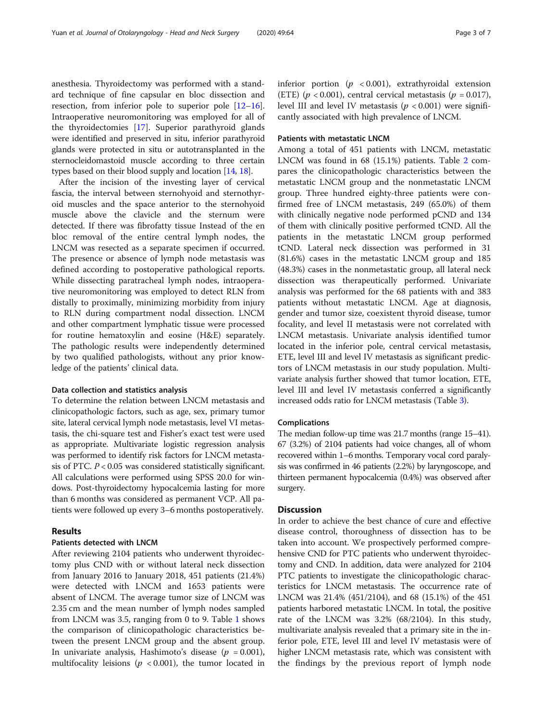anesthesia. Thyroidectomy was performed with a standard technique of fine capsular en bloc dissection and resection, from inferior pole to superior pole  $[12-16]$  $[12-16]$  $[12-16]$  $[12-16]$  $[12-16]$ . Intraoperative neuromonitoring was employed for all of the thyroidectomies [[17\]](#page-6-0). Superior parathyroid glands were identified and preserved in situ, inferior parathyroid glands were protected in situ or autotransplanted in the sternocleidomastoid muscle according to three certain types based on their blood supply and location [\[14,](#page-6-0) [18](#page-6-0)].

After the incision of the investing layer of cervical fascia, the interval between sternohyoid and sternothyroid muscles and the space anterior to the sternohyoid muscle above the clavicle and the sternum were detected. If there was fibrofatty tissue Instead of the en bloc removal of the entire central lymph nodes, the LNCM was resected as a separate specimen if occurred. The presence or absence of lymph node metastasis was defined according to postoperative pathological reports. While dissecting paratracheal lymph nodes, intraoperative neuromonitoring was employed to detect RLN from distally to proximally, minimizing morbidity from injury to RLN during compartment nodal dissection. LNCM and other compartment lymphatic tissue were processed for routine hematoxylin and eosine (H&E) separately. The pathologic results were independently determined by two qualified pathologists, without any prior knowledge of the patients' clinical data.

# Data collection and statistics analysis

To determine the relation between LNCM metastasis and clinicopathologic factors, such as age, sex, primary tumor site, lateral cervical lymph node metastasis, level VI metastasis, the chi-square test and Fisher's exact test were used as appropriate. Multivariate logistic regression analysis was performed to identify risk factors for LNCM metastasis of PTC.  $P < 0.05$  was considered statistically significant. All calculations were performed using SPSS 20.0 for windows. Post-thyroidectomy hypocalcemia lasting for more than 6 months was considered as permanent VCP. All patients were followed up every 3–6 months postoperatively.

# **Results**

# Patients detected with LNCM

After reviewing 2104 patients who underwent thyroidectomy plus CND with or without lateral neck dissection from January 2016 to January 2018, 451 patients (21.4%) were detected with LNCM and 1653 patients were absent of LNCM. The average tumor size of LNCM was 2.35 cm and the mean number of lymph nodes sampled from LNCM was 3.5, ranging from 0 to 9. Table [1](#page-3-0) shows the comparison of clinicopathologic characteristics between the present LNCM group and the absent group. In univariate analysis, Hashimoto's disease ( $p = 0.001$ ), multifocality leisions ( $p < 0.001$ ), the tumor located in inferior portion ( $p < 0.001$ ), extrathyroidal extension (ETE) ( $p < 0.001$ ), central cervical metastasis ( $p = 0.017$ ), level III and level IV metastasis ( $p < 0.001$ ) were significantly associated with high prevalence of LNCM.

# Patients with metastatic LNCM

Among a total of 451 patients with LNCM, metastatic LNCM was found in 68 (15.1%) patients. Table [2](#page-4-0) compares the clinicopathologic characteristics between the metastatic LNCM group and the nonmetastatic LNCM group. Three hundred eighty-three patients were confirmed free of LNCM metastasis, 249 (65.0%) of them with clinically negative node performed pCND and 134 of them with clinically positive performed tCND. All the patients in the metastatic LNCM group performed tCND. Lateral neck dissection was performed in 31 (81.6%) cases in the metastatic LNCM group and 185 (48.3%) cases in the nonmetastatic group, all lateral neck dissection was therapeutically performed. Univariate analysis was performed for the 68 patients with and 383 patients without metastatic LNCM. Age at diagnosis, gender and tumor size, coexistent thyroid disease, tumor focality, and level II metastasis were not correlated with LNCM metastasis. Univariate analysis identified tumor located in the inferior pole, central cervical metastasis, ETE, level III and level IV metastasis as significant predictors of LNCM metastasis in our study population. Multivariate analysis further showed that tumor location, ETE, level III and level IV metastasis conferred a significantly increased odds ratio for LNCM metastasis (Table [3](#page-4-0)).

# Complications

The median follow-up time was 21.7 months (range 15–41). 67 (3.2%) of 2104 patients had voice changes, all of whom recovered within 1–6 months. Temporary vocal cord paralysis was confirmed in 46 patients (2.2%) by laryngoscope, and thirteen permanent hypocalcemia (0.4%) was observed after surgery.

# Discussion

In order to achieve the best chance of cure and effective disease control, thoroughness of dissection has to be taken into account. We prospectively performed comprehensive CND for PTC patients who underwent thyroidectomy and CND. In addition, data were analyzed for 2104 PTC patients to investigate the clinicopathologic characteristics for LNCM metastasis. The occurrence rate of LNCM was 21.4% (451/2104), and 68 (15.1%) of the 451 patients harbored metastatic LNCM. In total, the positive rate of the LNCM was 3.2% (68/2104). In this study, multivariate analysis revealed that a primary site in the inferior pole, ETE, level III and level IV metastasis were of higher LNCM metastasis rate, which was consistent with the findings by the previous report of lymph node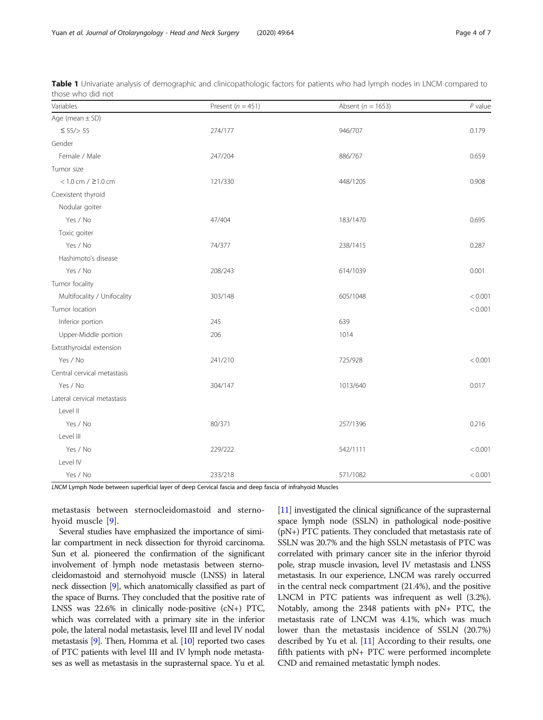| Variables                    | Present ( $n = 451$ ) | Absent ( $n = 1653$ ) | $P$ value |
|------------------------------|-----------------------|-----------------------|-----------|
| Age (mean $\pm$ SD)          |                       |                       |           |
| $\leq 55$ /> 55              | 274/177               | 946/707               | 0.179     |
| Gender                       |                       |                       |           |
| Female / Male                | 247/204               | 886/767               | 0.659     |
| Tumor size                   |                       |                       |           |
| $< 1.0$ cm $/$ $\geq$ 1.0 cm | 121/330               | 448/1205              | 0.908     |
| Coexistent thyroid           |                       |                       |           |
| Nodular goiter               |                       |                       |           |
| Yes / No                     | 47/404                | 183/1470              | 0.695     |
| Toxic goiter                 |                       |                       |           |
| Yes / No                     | 74/377                | 238/1415              | 0.287     |
| Hashimoto's disease          |                       |                       |           |
| Yes / No                     | 208/243               | 614/1039              | 0.001     |
| Tumor focality               |                       |                       |           |
| Multifocality / Unifocality  | 303/148               | 605/1048              | < 0.001   |
| Tumor location               |                       |                       | < 0.001   |
| Inferior portion             | 245                   | 639                   |           |
| Upper-Middle portion         | 206                   | 1014                  |           |
| Extrathyroidal extension     |                       |                       |           |
| Yes / No                     | 241/210               | 725/928               | < 0.001   |
| Central cervical metastasis  |                       |                       |           |
| Yes / No                     | 304/147               | 1013/640              | 0.017     |
| Lateral cervical metastasis  |                       |                       |           |
| Level II                     |                       |                       |           |
| Yes / No                     | 80/371                | 257/1396              | 0.216     |
| Level III                    |                       |                       |           |
| Yes / No                     | 229/222               | 542/1111              | < 0.001   |
| Level IV                     |                       |                       |           |
| Yes / No                     | 233/218               | 571/1082              | < 0.001   |

<span id="page-3-0"></span>Table 1 Univariate analysis of demographic and clinicopathologic factors for patients who had lymph nodes in LNCM compared to those who did not

LNCM Lymph Node between superficial layer of deep Cervical fascia and deep fascia of infrahyoid Muscles

metastasis between sternocleidomastoid and sternohyoid muscle [[9](#page-6-0)].

Several studies have emphasized the importance of similar compartment in neck dissection for thyroid carcinoma. Sun et al. pioneered the confirmation of the significant involvement of lymph node metastasis between sternocleidomastoid and sternohyoid muscle (LNSS) in lateral neck dissection [\[9\]](#page-6-0), which anatomically classified as part of the space of Burns. They concluded that the positive rate of LNSS was 22.6% in clinically node-positive (cN+) PTC, which was correlated with a primary site in the inferior pole, the lateral nodal metastasis, level III and level IV nodal metastasis [\[9](#page-6-0)]. Then, Homma et al. [\[10\]](#page-6-0) reported two cases of PTC patients with level III and IV lymph node metastases as well as metastasis in the suprasternal space. Yu et al.

[[11](#page-6-0)] investigated the clinical significance of the suprasternal space lymph node (SSLN) in pathological node-positive (pN+) PTC patients. They concluded that metastasis rate of SSLN was 20.7% and the high SSLN metastasis of PTC was correlated with primary cancer site in the inferior thyroid pole, strap muscle invasion, level IV metastasis and LNSS metastasis. In our experience, LNCM was rarely occurred in the central neck compartment (21.4%), and the positive LNCM in PTC patients was infrequent as well (3.2%). Notably, among the 2348 patients with pN+ PTC, the metastasis rate of LNCM was 4.1%, which was much lower than the metastasis incidence of SSLN (20.7%) described by Yu et al. [[11](#page-6-0)] According to their results, one fifth patients with pN+ PTC were performed incomplete CND and remained metastatic lymph nodes.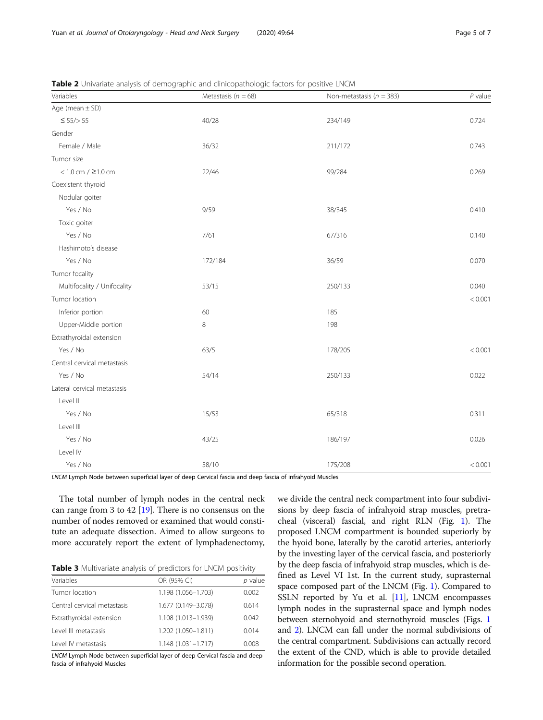| Variables                    | Metastasis ( $n = 68$ ) | Non-metastasis ( $n = 383$ ) | $P$ value |
|------------------------------|-------------------------|------------------------------|-----------|
| Age (mean $\pm$ SD)          |                         |                              |           |
| $\leq 55$ /> 55              | 40/28                   | 234/149                      | 0.724     |
| Gender                       |                         |                              |           |
| Female / Male                | 36/32                   | 211/172                      | 0.743     |
| Tumor size                   |                         |                              |           |
| $< 1.0$ cm $/$ $\geq$ 1.0 cm | 22/46                   | 99/284                       | 0.269     |
| Coexistent thyroid           |                         |                              |           |
| Nodular goiter               |                         |                              |           |
| Yes / No                     | 9/59                    | 38/345                       | 0.410     |
| Toxic goiter                 |                         |                              |           |
| Yes / No                     | 7/61                    | 67/316                       | 0.140     |
| Hashimoto's disease          |                         |                              |           |
| Yes / No                     | 172/184                 | 36/59                        | 0.070     |
| Tumor focality               |                         |                              |           |
| Multifocality / Unifocality  | 53/15                   | 250/133                      | 0.040     |
| Tumor location               |                         |                              | < 0.001   |
| Inferior portion             | 60                      | 185                          |           |
| Upper-Middle portion         | 8                       | 198                          |           |
| Extrathyroidal extension     |                         |                              |           |
| Yes / No                     | 63/5                    | 178/205                      | < 0.001   |
| Central cervical metastasis  |                         |                              |           |
| Yes / No                     | 54/14                   | 250/133                      | 0.022     |
| Lateral cervical metastasis  |                         |                              |           |
| Level II                     |                         |                              |           |
| Yes / No                     | 15/53                   | 65/318                       | 0.311     |
| Level III                    |                         |                              |           |
| Yes / No                     | 43/25                   | 186/197                      | 0.026     |
| Level IV                     |                         |                              |           |
| Yes / No                     | 58/10                   | 175/208                      | < 0.001   |

<span id="page-4-0"></span>Table 2 Univariate analysis of demographic and clinicopathologic factors for positive LNCM

LNCM Lymph Node between superficial layer of deep Cervical fascia and deep fascia of infrahyoid Muscles

The total number of lymph nodes in the central neck can range from 3 to 42 [[19](#page-6-0)]. There is no consensus on the number of nodes removed or examined that would constitute an adequate dissection. Aimed to allow surgeons to more accurately report the extent of lymphadenectomy,

Table 3 Multivariate analysis of predictors for LNCM positivity

| Variables                   | OR (95% CI)            | p value |
|-----------------------------|------------------------|---------|
| Tumor location              | 1.198 (1.056-1.703)    | 0.002   |
| Central cervical metastasis | 1.677 (0.149-3.078)    | 0.614   |
| Extrathyroidal extension    | 1.108 (1.013-1.939)    | 0.042   |
| Level III metastasis        | 1.202 (1.050-1.811)    | 0.014   |
| Level IV metastasis         | $1.148(1.031 - 1.717)$ | 0.008   |

LNCM Lymph Node between superficial layer of deep Cervical fascia and deep fascia of infrahyoid Muscles

we divide the central neck compartment into four subdivisions by deep fascia of infrahyoid strap muscles, pretracheal (visceral) fascial, and right RLN (Fig. [1](#page-1-0)). The proposed LNCM compartment is bounded superiorly by the hyoid bone, laterally by the carotid arteries, anteriorly by the investing layer of the cervical fascia, and posteriorly by the deep fascia of infrahyoid strap muscles, which is defined as Level VI 1st. In the current study, suprasternal space composed part of the LNCM (Fig. [1\)](#page-1-0). Compared to SSLN reported by Yu et al. [\[11\]](#page-6-0), LNCM encompasses lymph nodes in the suprasternal space and lymph nodes between sternohyoid and sternothyroid muscles (Figs. [1](#page-1-0) and [2](#page-5-0)). LNCM can fall under the normal subdivisions of the central compartment. Subdivisions can actually record the extent of the CND, which is able to provide detailed information for the possible second operation.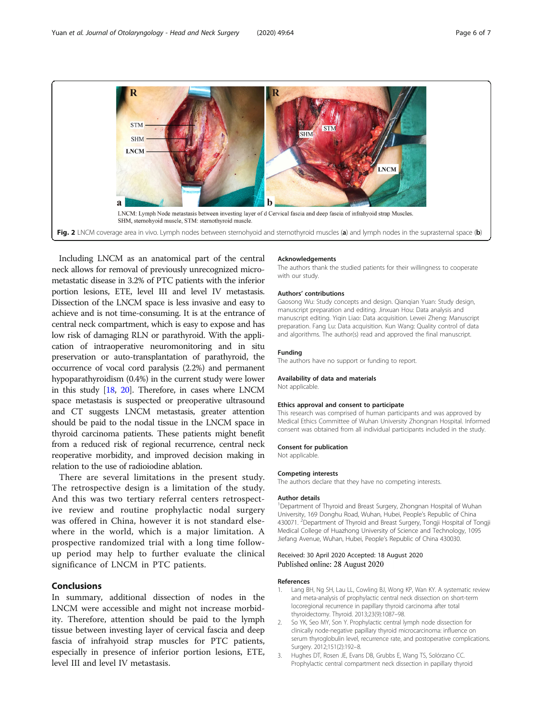<span id="page-5-0"></span>

Including LNCM as an anatomical part of the central neck allows for removal of previously unrecognized micrometastatic disease in 3.2% of PTC patients with the inferior portion lesions, ETE, level III and level IV metastasis. Dissection of the LNCM space is less invasive and easy to achieve and is not time-consuming. It is at the entrance of central neck compartment, which is easy to expose and has low risk of damaging RLN or parathyroid. With the application of intraoperative neuromonitoring and in situ preservation or auto-transplantation of parathyroid, the occurrence of vocal cord paralysis (2.2%) and permanent hypoparathyroidism (0.4%) in the current study were lower in this study [\[18,](#page-6-0) [20\]](#page-6-0). Therefore, in cases where LNCM space metastasis is suspected or preoperative ultrasound and CT suggests LNCM metastasis, greater attention should be paid to the nodal tissue in the LNCM space in thyroid carcinoma patients. These patients might benefit from a reduced risk of regional recurrence, central neck reoperative morbidity, and improved decision making in relation to the use of radioiodine ablation.

There are several limitations in the present study. The retrospective design is a limitation of the study. And this was two tertiary referral centers retrospective review and routine prophylactic nodal surgery was offered in China, however it is not standard elsewhere in the world, which is a major limitation. A prospective randomized trial with a long time followup period may help to further evaluate the clinical significance of LNCM in PTC patients.

# Conclusions

In summary, additional dissection of nodes in the LNCM were accessible and might not increase morbidity. Therefore, attention should be paid to the lymph tissue between investing layer of cervical fascia and deep fascia of infrahyoid strap muscles for PTC patients, especially in presence of inferior portion lesions, ETE, level III and level IV metastasis.

### Acknowledgements

The authors thank the studied patients for their willingness to cooperate with our study.

#### Authors' contributions

Gaosong Wu: Study concepts and design. Qianqian Yuan: Study design, manuscript preparation and editing. Jinxuan Hou: Data analysis and manuscript editing. Yiqin Liao: Data acquisition. Lewei Zheng: Manuscript preparation. Fang Lu: Data acquisition. Kun Wang: Quality control of data and algorithms. The author(s) read and approved the final manuscript.

# Funding

The authors have no support or funding to report.

# Availability of data and materials

Not applicable.

### Ethics approval and consent to participate

This research was comprised of human participants and was approved by Medical Ethics Committee of Wuhan University Zhongnan Hospital. Informed consent was obtained from all individual participants included in the study.

#### Consent for publication

Not applicable.

### Competing interests

The authors declare that they have no competing interests.

#### Author details

<sup>1</sup>Department of Thyroid and Breast Surgery, Zhongnan Hospital of Wuhan University, 169 Donghu Road, Wuhan, Hubei, People's Republic of China 430071. <sup>2</sup>Department of Thyroid and Breast Surgery, Tongji Hospital of Tongji Medical College of Huazhong University of Science and Technology, 1095 Jiefang Avenue, Wuhan, Hubei, People's Republic of China 430030.

# Received: 30 April 2020 Accepted: 18 August 2020 Published online: 28 August 2020

### References

- Lang BH, Ng SH, Lau LL, Cowling BJ, Wong KP, Wan KY. A systematic review and meta-analysis of prophylactic central neck dissection on short-term locoregional recurrence in papillary thyroid carcinoma after total thyroidectomy. Thyroid. 2013;23(9):1087–98.
- 2. So YK, Seo MY, Son Y. Prophylactic central lymph node dissection for clinically node-negative papillary thyroid microcarcinoma: influence on serum thyroglobulin level, recurrence rate, and postoperative complications. Surgery. 2012;151(2):192–8.
- Hughes DT, Rosen JE, Evans DB, Grubbs E, Wang TS, Solórzano CC. Prophylactic central compartment neck dissection in papillary thyroid